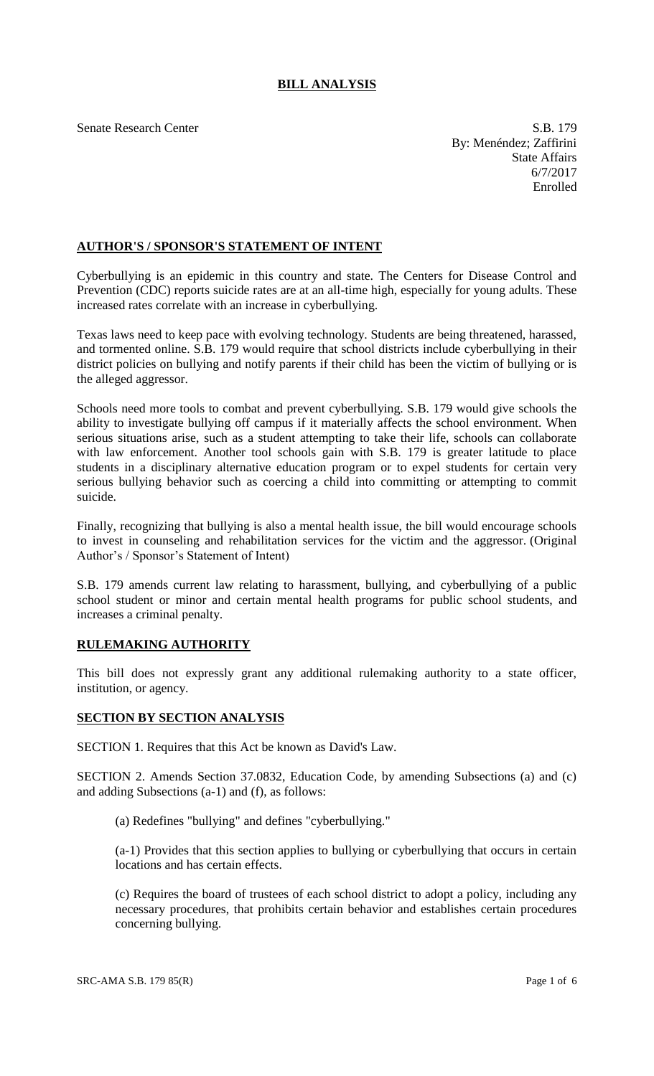# **BILL ANALYSIS**

Senate Research Center S.B. 179 By: Menéndez; Zaffirini State Affairs 6/7/2017 Enrolled

## **AUTHOR'S / SPONSOR'S STATEMENT OF INTENT**

Cyberbullying is an epidemic in this country and state. The Centers for Disease Control and Prevention (CDC) reports suicide rates are at an all-time high, especially for young adults. These increased rates correlate with an increase in cyberbullying.

Texas laws need to keep pace with evolving technology. Students are being threatened, harassed, and tormented online. S.B. 179 would require that school districts include cyberbullying in their district policies on bullying and notify parents if their child has been the victim of bullying or is the alleged aggressor.

Schools need more tools to combat and prevent cyberbullying. S.B. 179 would give schools the ability to investigate bullying off campus if it materially affects the school environment. When serious situations arise, such as a student attempting to take their life, schools can collaborate with law enforcement. Another tool schools gain with S.B. 179 is greater latitude to place students in a disciplinary alternative education program or to expel students for certain very serious bullying behavior such as coercing a child into committing or attempting to commit suicide.

Finally, recognizing that bullying is also a mental health issue, the bill would encourage schools to invest in counseling and rehabilitation services for the victim and the aggressor. (Original Author's / Sponsor's Statement of Intent)

S.B. 179 amends current law relating to harassment, bullying, and cyberbullying of a public school student or minor and certain mental health programs for public school students, and increases a criminal penalty.

## **RULEMAKING AUTHORITY**

This bill does not expressly grant any additional rulemaking authority to a state officer, institution, or agency.

## **SECTION BY SECTION ANALYSIS**

SECTION 1. Requires that this Act be known as David's Law.

SECTION 2. Amends Section 37.0832, Education Code, by amending Subsections (a) and (c) and adding Subsections (a-1) and (f), as follows:

(a) Redefines "bullying" and defines "cyberbullying."

(a-1) Provides that this section applies to bullying or cyberbullying that occurs in certain locations and has certain effects.

(c) Requires the board of trustees of each school district to adopt a policy, including any necessary procedures, that prohibits certain behavior and establishes certain procedures concerning bullying.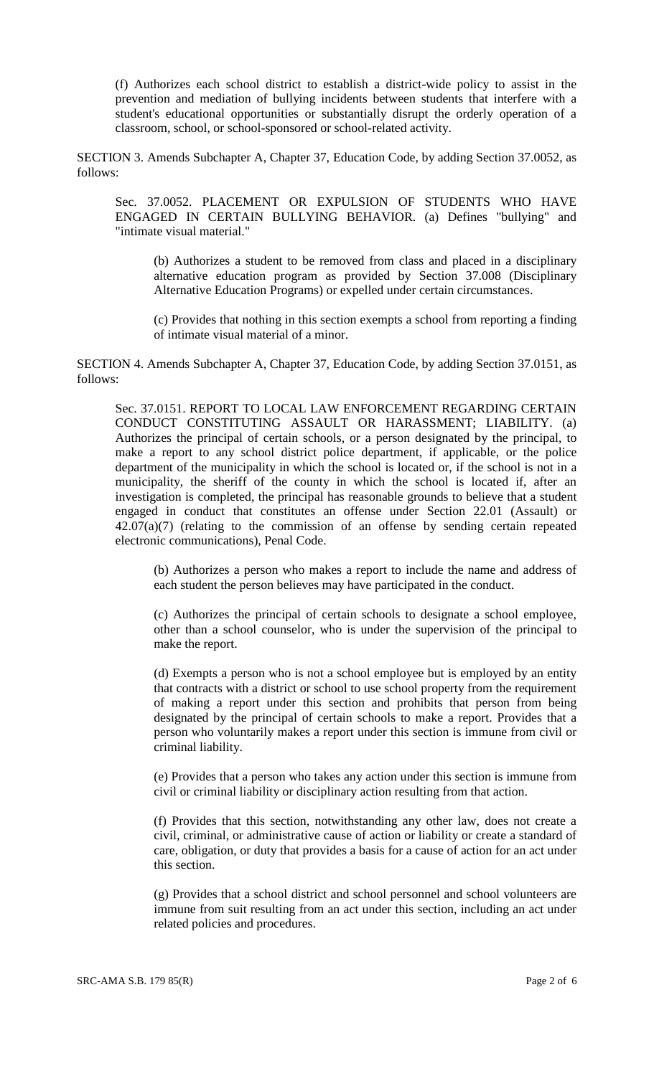(f) Authorizes each school district to establish a district-wide policy to assist in the prevention and mediation of bullying incidents between students that interfere with a student's educational opportunities or substantially disrupt the orderly operation of a classroom, school, or school-sponsored or school-related activity.

SECTION 3. Amends Subchapter A, Chapter 37, Education Code, by adding Section 37.0052, as follows:

Sec. 37.0052. PLACEMENT OR EXPULSION OF STUDENTS WHO HAVE ENGAGED IN CERTAIN BULLYING BEHAVIOR. (a) Defines "bullying" and "intimate visual material."

(b) Authorizes a student to be removed from class and placed in a disciplinary alternative education program as provided by Section 37.008 (Disciplinary Alternative Education Programs) or expelled under certain circumstances.

(c) Provides that nothing in this section exempts a school from reporting a finding of intimate visual material of a minor.

SECTION 4. Amends Subchapter A, Chapter 37, Education Code, by adding Section 37.0151, as follows:

Sec. 37.0151. REPORT TO LOCAL LAW ENFORCEMENT REGARDING CERTAIN CONDUCT CONSTITUTING ASSAULT OR HARASSMENT; LIABILITY. (a) Authorizes the principal of certain schools, or a person designated by the principal, to make a report to any school district police department, if applicable, or the police department of the municipality in which the school is located or, if the school is not in a municipality, the sheriff of the county in which the school is located if, after an investigation is completed, the principal has reasonable grounds to believe that a student engaged in conduct that constitutes an offense under Section 22.01 (Assault) or 42.07(a)(7) (relating to the commission of an offense by sending certain repeated electronic communications), Penal Code.

(b) Authorizes a person who makes a report to include the name and address of each student the person believes may have participated in the conduct.

(c) Authorizes the principal of certain schools to designate a school employee, other than a school counselor, who is under the supervision of the principal to make the report.

(d) Exempts a person who is not a school employee but is employed by an entity that contracts with a district or school to use school property from the requirement of making a report under this section and prohibits that person from being designated by the principal of certain schools to make a report. Provides that a person who voluntarily makes a report under this section is immune from civil or criminal liability.

(e) Provides that a person who takes any action under this section is immune from civil or criminal liability or disciplinary action resulting from that action.

(f) Provides that this section, notwithstanding any other law, does not create a civil, criminal, or administrative cause of action or liability or create a standard of care, obligation, or duty that provides a basis for a cause of action for an act under this section.

(g) Provides that a school district and school personnel and school volunteers are immune from suit resulting from an act under this section, including an act under related policies and procedures.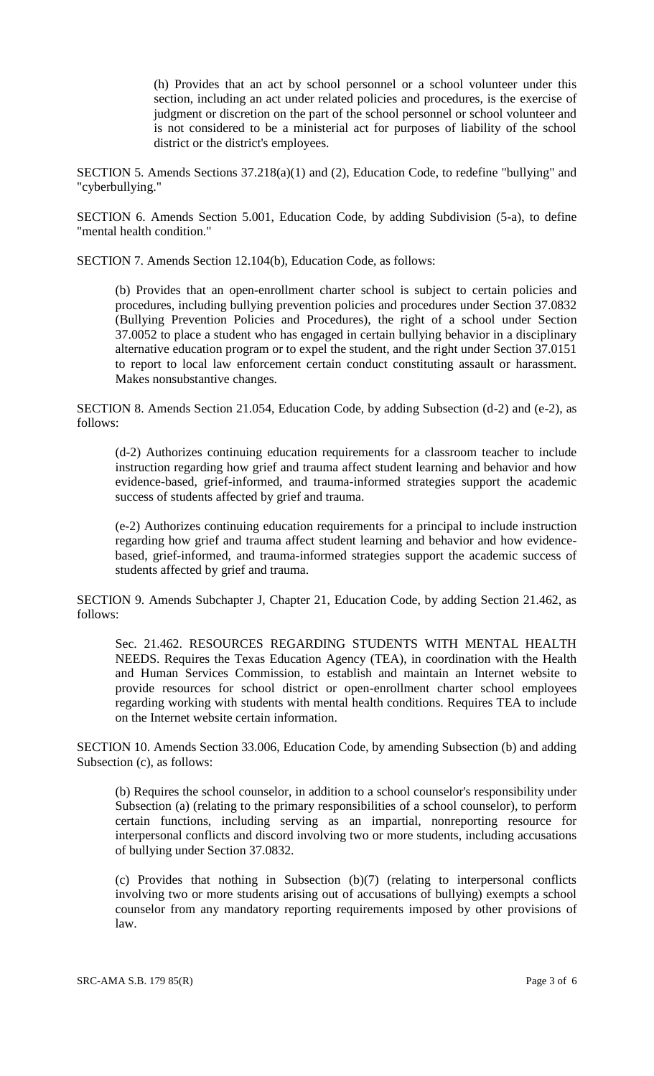(h) Provides that an act by school personnel or a school volunteer under this section, including an act under related policies and procedures, is the exercise of judgment or discretion on the part of the school personnel or school volunteer and is not considered to be a ministerial act for purposes of liability of the school district or the district's employees.

SECTION 5. Amends Sections 37.218(a)(1) and (2), Education Code, to redefine "bullying" and "cyberbullying."

SECTION 6. Amends Section 5.001, Education Code, by adding Subdivision (5-a), to define "mental health condition."

SECTION 7. Amends Section 12.104(b), Education Code, as follows:

(b) Provides that an open-enrollment charter school is subject to certain policies and procedures, including bullying prevention policies and procedures under Section 37.0832 (Bullying Prevention Policies and Procedures), the right of a school under Section 37.0052 to place a student who has engaged in certain bullying behavior in a disciplinary alternative education program or to expel the student, and the right under Section 37.0151 to report to local law enforcement certain conduct constituting assault or harassment. Makes nonsubstantive changes.

SECTION 8. Amends Section 21.054, Education Code, by adding Subsection (d-2) and (e-2), as follows:

(d-2) Authorizes continuing education requirements for a classroom teacher to include instruction regarding how grief and trauma affect student learning and behavior and how evidence-based, grief-informed, and trauma-informed strategies support the academic success of students affected by grief and trauma.

(e-2) Authorizes continuing education requirements for a principal to include instruction regarding how grief and trauma affect student learning and behavior and how evidencebased, grief-informed, and trauma-informed strategies support the academic success of students affected by grief and trauma.

SECTION 9. Amends Subchapter J, Chapter 21, Education Code, by adding Section 21.462, as follows:

Sec. 21.462. RESOURCES REGARDING STUDENTS WITH MENTAL HEALTH NEEDS. Requires the Texas Education Agency (TEA), in coordination with the Health and Human Services Commission, to establish and maintain an Internet website to provide resources for school district or open-enrollment charter school employees regarding working with students with mental health conditions. Requires TEA to include on the Internet website certain information.

SECTION 10. Amends Section 33.006, Education Code, by amending Subsection (b) and adding Subsection (c), as follows:

(b) Requires the school counselor, in addition to a school counselor's responsibility under Subsection (a) (relating to the primary responsibilities of a school counselor), to perform certain functions, including serving as an impartial, nonreporting resource for interpersonal conflicts and discord involving two or more students, including accusations of bullying under Section 37.0832.

(c) Provides that nothing in Subsection (b)(7) (relating to interpersonal conflicts involving two or more students arising out of accusations of bullying) exempts a school counselor from any mandatory reporting requirements imposed by other provisions of law.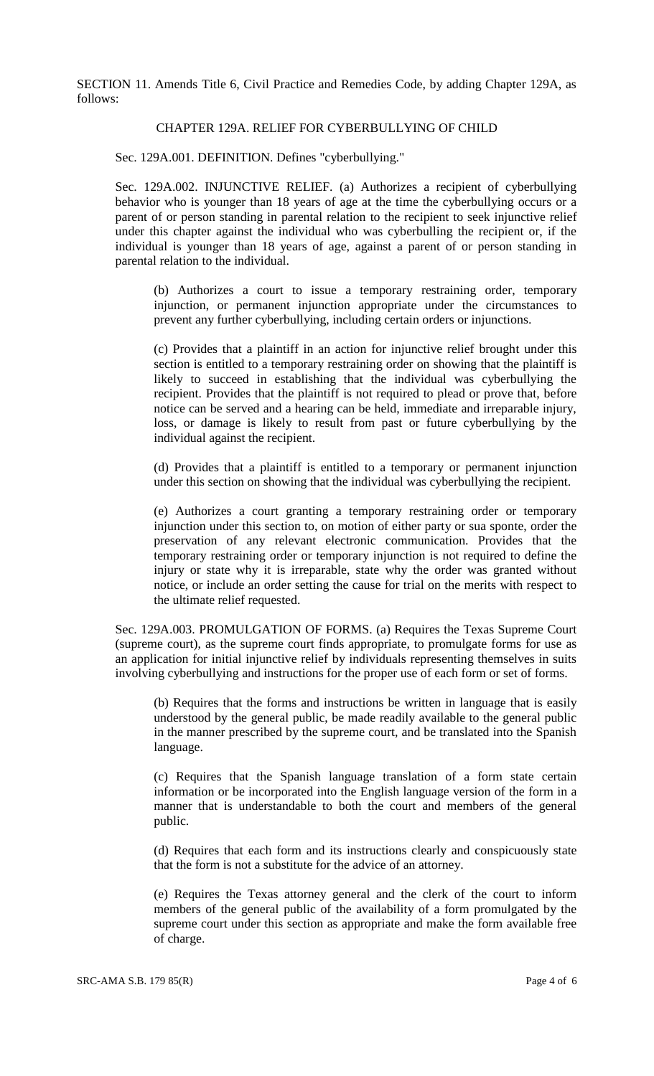SECTION 11. Amends Title 6, Civil Practice and Remedies Code, by adding Chapter 129A, as follows:

### CHAPTER 129A. RELIEF FOR CYBERBULLYING OF CHILD

Sec. 129A.001. DEFINITION. Defines "cyberbullying."

Sec. 129A.002. INJUNCTIVE RELIEF. (a) Authorizes a recipient of cyberbullying behavior who is younger than 18 years of age at the time the cyberbullying occurs or a parent of or person standing in parental relation to the recipient to seek injunctive relief under this chapter against the individual who was cyberbulling the recipient or, if the individual is younger than 18 years of age, against a parent of or person standing in parental relation to the individual.

(b) Authorizes a court to issue a temporary restraining order, temporary injunction, or permanent injunction appropriate under the circumstances to prevent any further cyberbullying, including certain orders or injunctions.

(c) Provides that a plaintiff in an action for injunctive relief brought under this section is entitled to a temporary restraining order on showing that the plaintiff is likely to succeed in establishing that the individual was cyberbullying the recipient. Provides that the plaintiff is not required to plead or prove that, before notice can be served and a hearing can be held, immediate and irreparable injury, loss, or damage is likely to result from past or future cyberbullying by the individual against the recipient.

(d) Provides that a plaintiff is entitled to a temporary or permanent injunction under this section on showing that the individual was cyberbullying the recipient.

(e) Authorizes a court granting a temporary restraining order or temporary injunction under this section to, on motion of either party or sua sponte, order the preservation of any relevant electronic communication. Provides that the temporary restraining order or temporary injunction is not required to define the injury or state why it is irreparable, state why the order was granted without notice, or include an order setting the cause for trial on the merits with respect to the ultimate relief requested.

Sec. 129A.003. PROMULGATION OF FORMS. (a) Requires the Texas Supreme Court (supreme court), as the supreme court finds appropriate, to promulgate forms for use as an application for initial injunctive relief by individuals representing themselves in suits involving cyberbullying and instructions for the proper use of each form or set of forms.

(b) Requires that the forms and instructions be written in language that is easily understood by the general public, be made readily available to the general public in the manner prescribed by the supreme court, and be translated into the Spanish language.

(c) Requires that the Spanish language translation of a form state certain information or be incorporated into the English language version of the form in a manner that is understandable to both the court and members of the general public.

(d) Requires that each form and its instructions clearly and conspicuously state that the form is not a substitute for the advice of an attorney.

(e) Requires the Texas attorney general and the clerk of the court to inform members of the general public of the availability of a form promulgated by the supreme court under this section as appropriate and make the form available free of charge.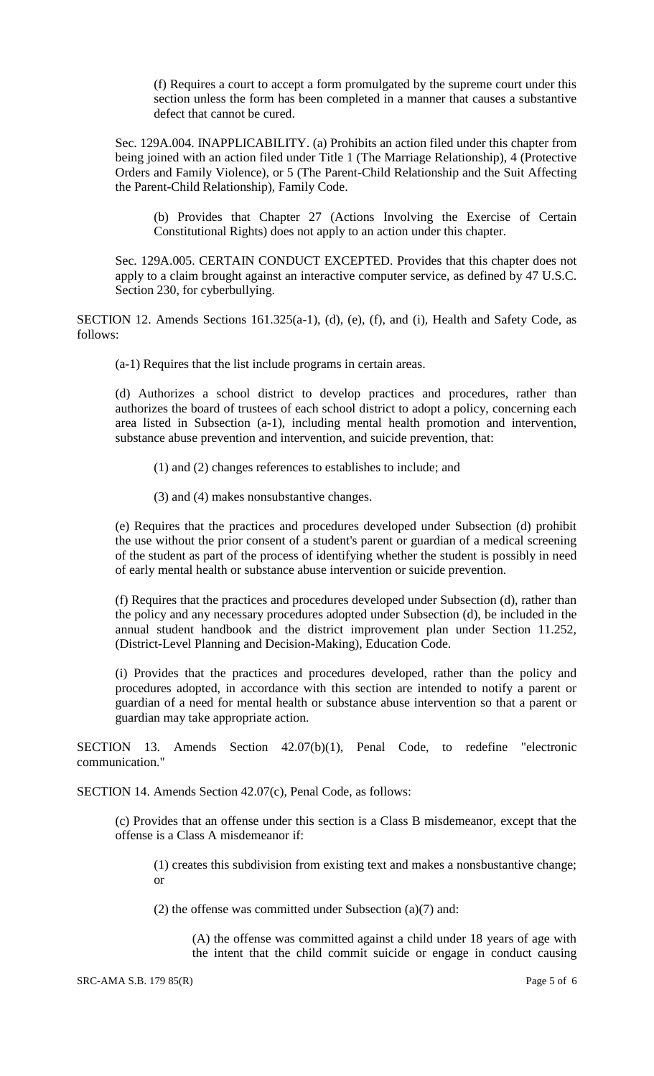(f) Requires a court to accept a form promulgated by the supreme court under this section unless the form has been completed in a manner that causes a substantive defect that cannot be cured.

Sec. 129A.004. INAPPLICABILITY. (a) Prohibits an action filed under this chapter from being joined with an action filed under Title 1 (The Marriage Relationship), 4 (Protective Orders and Family Violence), or 5 (The Parent-Child Relationship and the Suit Affecting the Parent-Child Relationship), Family Code.

(b) Provides that Chapter 27 (Actions Involving the Exercise of Certain Constitutional Rights) does not apply to an action under this chapter.

Sec. 129A.005. CERTAIN CONDUCT EXCEPTED. Provides that this chapter does not apply to a claim brought against an interactive computer service, as defined by 47 U.S.C. Section 230, for cyberbullying.

SECTION 12. Amends Sections 161.325(a-1), (d), (e), (f), and (i), Health and Safety Code, as follows:

(a-1) Requires that the list include programs in certain areas.

(d) Authorizes a school district to develop practices and procedures, rather than authorizes the board of trustees of each school district to adopt a policy, concerning each area listed in Subsection (a-1), including mental health promotion and intervention, substance abuse prevention and intervention, and suicide prevention, that:

(1) and (2) changes references to establishes to include; and

(3) and (4) makes nonsubstantive changes.

(e) Requires that the practices and procedures developed under Subsection (d) prohibit the use without the prior consent of a student's parent or guardian of a medical screening of the student as part of the process of identifying whether the student is possibly in need of early mental health or substance abuse intervention or suicide prevention.

(f) Requires that the practices and procedures developed under Subsection (d), rather than the policy and any necessary procedures adopted under Subsection (d), be included in the annual student handbook and the district improvement plan under Section 11.252, (District-Level Planning and Decision-Making), Education Code.

(i) Provides that the practices and procedures developed, rather than the policy and procedures adopted, in accordance with this section are intended to notify a parent or guardian of a need for mental health or substance abuse intervention so that a parent or guardian may take appropriate action.

SECTION 13. Amends Section 42.07(b)(1), Penal Code, to redefine "electronic communication."

SECTION 14. Amends Section 42.07(c), Penal Code, as follows:

(c) Provides that an offense under this section is a Class B misdemeanor, except that the offense is a Class A misdemeanor if:

(1) creates this subdivision from existing text and makes a nonsbustantive change; or

(2) the offense was committed under Subsection (a)(7) and:

(A) the offense was committed against a child under 18 years of age with the intent that the child commit suicide or engage in conduct causing